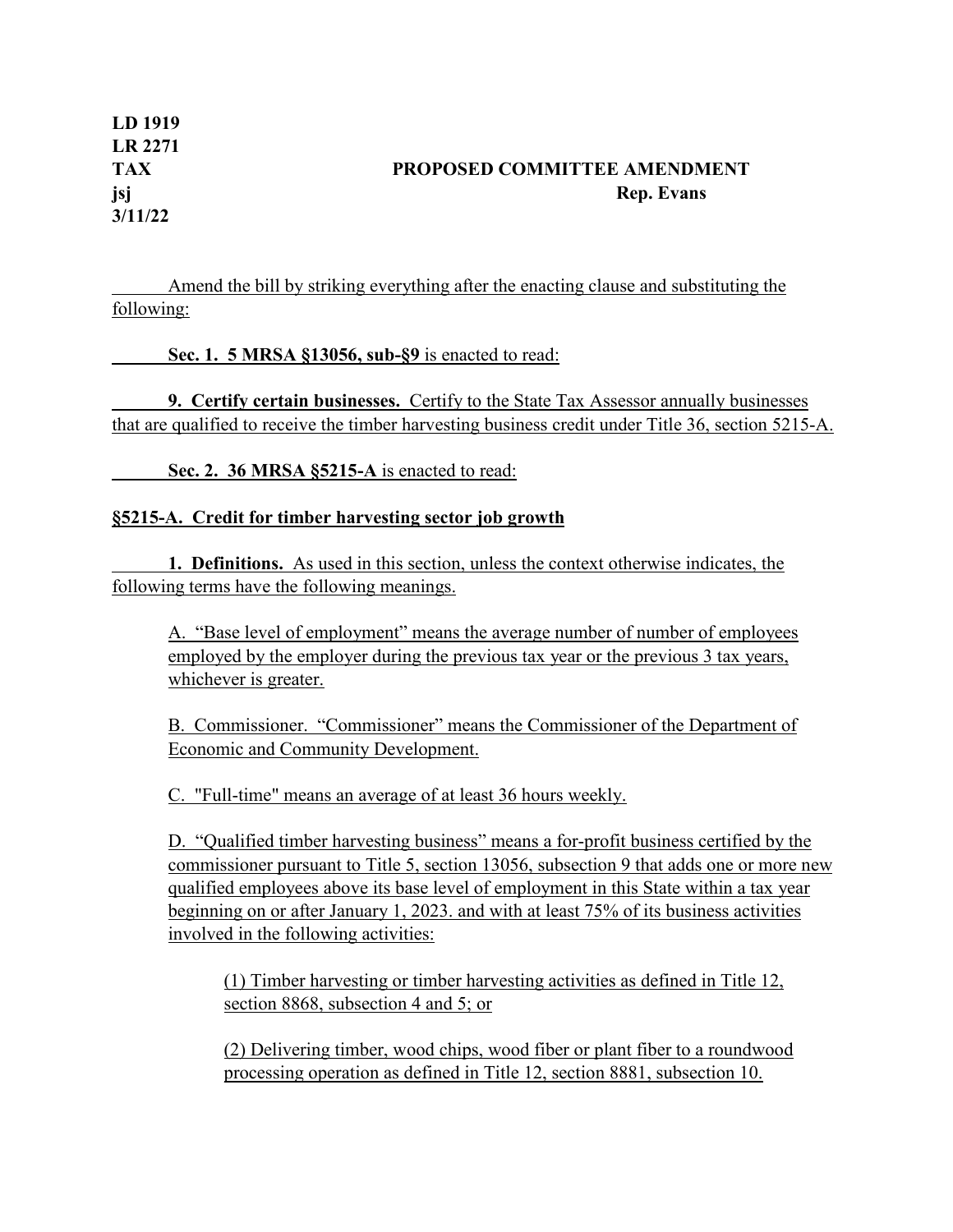**LD 1919 LR 2271 TAX PROPOSED COMMITTEE AMENDMENT jsj Rep. Evans 3/11/22**

Amend the bill by striking everything after the enacting clause and substituting the following:

**Sec. 1. 5 MRSA §13056, sub-§9** is enacted to read:

**9. Certify certain businesses.** Certify to the State Tax Assessor annually businesses that are qualified to receive the timber harvesting business credit under Title 36, section 5215-A.

**Sec. 2. 36 MRSA §5215-A** is enacted to read:

## **§5215-A. Credit for timber harvesting sector job growth**

**1. Definitions.** As used in this section, unless the context otherwise indicates, the following terms have the following meanings.

A. "Base level of employment" means the average number of number of employees employed by the employer during the previous tax year or the previous 3 tax years, whichever is greater.

B. Commissioner. "Commissioner" means the Commissioner of the Department of Economic and Community Development.

C. "Full-time" means an average of at least 36 hours weekly.

D. "Qualified timber harvesting business" means a for-profit business certified by the commissioner pursuant to Title 5, section 13056, subsection 9 that adds one or more new qualified employees above its base level of employment in this State within a tax year beginning on or after January 1, 2023. and with at least 75% of its business activities involved in the following activities:

(1) Timber harvesting or timber harvesting activities as defined in Title 12, section 8868, subsection 4 and 5; or

(2) Delivering timber, wood chips, wood fiber or plant fiber to a roundwood processing operation as defined in Title 12, section 8881, subsection 10.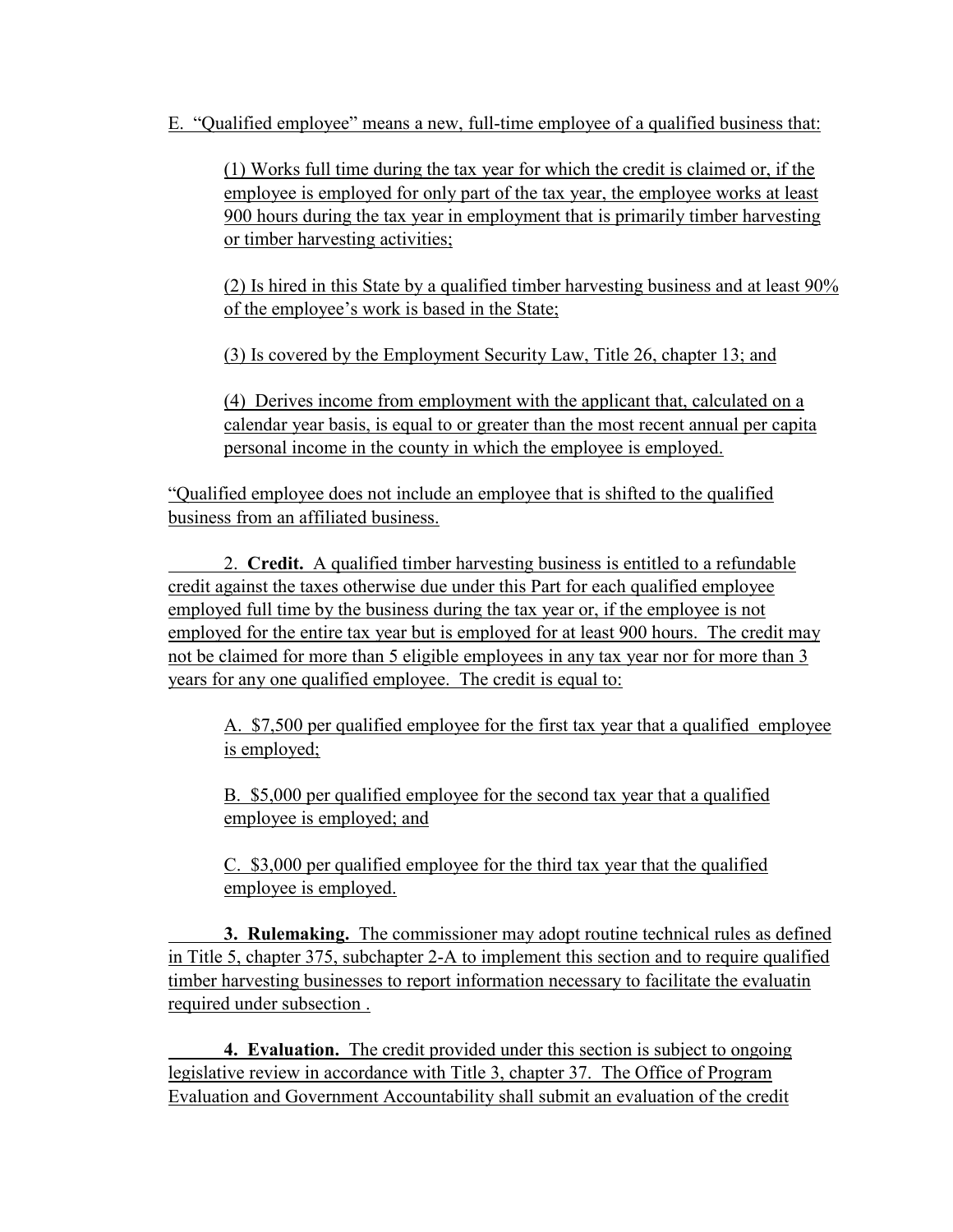E. "Qualified employee" means a new, full-time employee of a qualified business that:

(1) Works full time during the tax year for which the credit is claimed or, if the employee is employed for only part of the tax year, the employee works at least 900 hours during the tax year in employment that is primarily timber harvesting or timber harvesting activities;

(2) Is hired in this State by a qualified timber harvesting business and at least 90% of the employee's work is based in the State;

(3) Is covered by the Employment Security Law, Title 26, chapter 13; and

(4) Derives income from employment with the applicant that, calculated on a calendar year basis, is equal to or greater than the most recent annual per capita personal income in the county in which the employee is employed.

"Qualified employee does not include an employee that is shifted to the qualified business from an affiliated business.

2. **Credit.** A qualified timber harvesting business is entitled to a refundable credit against the taxes otherwise due under this Part for each qualified employee employed full time by the business during the tax year or, if the employee is not employed for the entire tax year but is employed for at least 900 hours. The credit may not be claimed for more than 5 eligible employees in any tax year nor for more than 3 years for any one qualified employee. The credit is equal to:

A. \$7,500 per qualified employee for the first tax year that a qualified employee is employed;

B. \$5,000 per qualified employee for the second tax year that a qualified employee is employed; and

C. \$3,000 per qualified employee for the third tax year that the qualified employee is employed.

**3. Rulemaking.** The commissioner may adopt routine technical rules as defined in Title 5, chapter 375, subchapter 2-A to implement this section and to require qualified timber harvesting businesses to report information necessary to facilitate the evaluatin required under subsection .

**4. Evaluation.** The credit provided under this section is subject to ongoing legislative review in accordance with Title 3, chapter 37. The Office of Program Evaluation and Government Accountability shall submit an evaluation of the credit